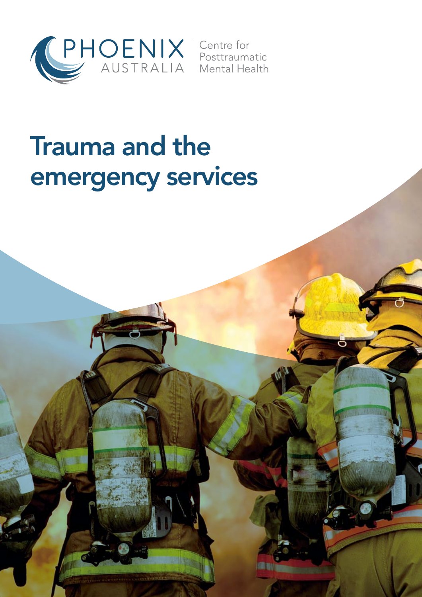

# Trauma and the emergency services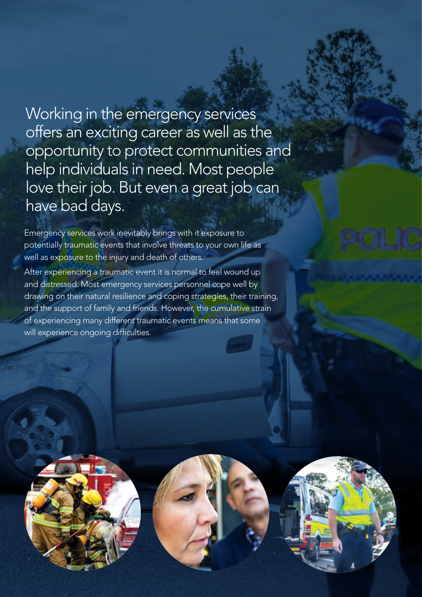Working in the emergency services offers an exciting career as well as the opportunity to protect communities and help individuals in need. Most people love their job. But even a great job can have bad days.

Emergency services work inevitably brings with it exposure to potentially traumatic events that involve threats to your own life as well as exposure to the injury and death of others.

After experiencing a traumatic event it is normal to feel wound up and distressed. Most emergency services personnel cope well by drawing on their natural resilience and coping strategies, their training, and the support of family and friends. However, the cumulative strain of experiencing many different traumatic events means that some will experience ongoing difficulties.

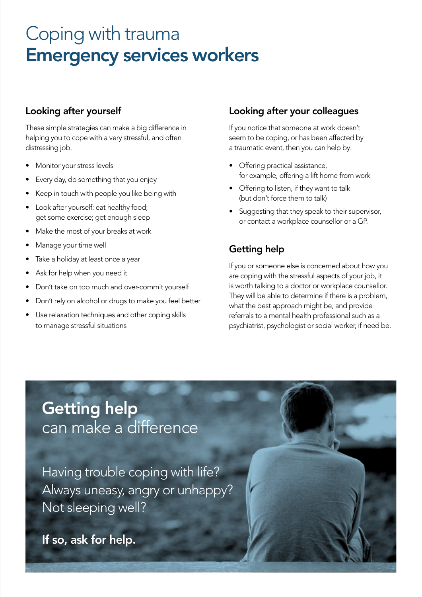## Coping with trauma Emergency services workers

#### Looking after yourself

These simple strategies can make a big difference in helping you to cope with a very stressful, and often distressing job.

- Monitor your stress levels
- Every day, do something that you enjoy
- Keep in touch with people you like being with
- Look after yourself: eat healthy food; get some exercise; get enough sleep
- Make the most of your breaks at work
- Manage your time well
- Take a holiday at least once a year
- Ask for help when you need it
- Don't take on too much and over-commit yourself
- Don't rely on alcohol or drugs to make you feel better
- Use relaxation techniques and other coping skills to manage stressful situations

#### Looking after your colleagues

If you notice that someone at work doesn't seem to be coping, or has been affected by a traumatic event, then you can help by:

- Offering practical assistance, for example, offering a lift home from work
- • Offering to listen, if they want to talk (but don't force them to talk)
- Suggesting that they speak to their supervisor, or contact a workplace counsellor or a GP.

#### Getting help

If you or someone else is concerned about how you are coping with the stressful aspects of your job, it is worth talking to a doctor or workplace counsellor. They will be able to determine if there is a problem, what the best approach might be, and provide referrals to a mental health professional such as a psychiatrist, psychologist or social worker, if need be.

### Getting help can make a difference

Having trouble coping with life? Always uneasy, angry or unhappy? Not sleeping well?

If so, ask for help.